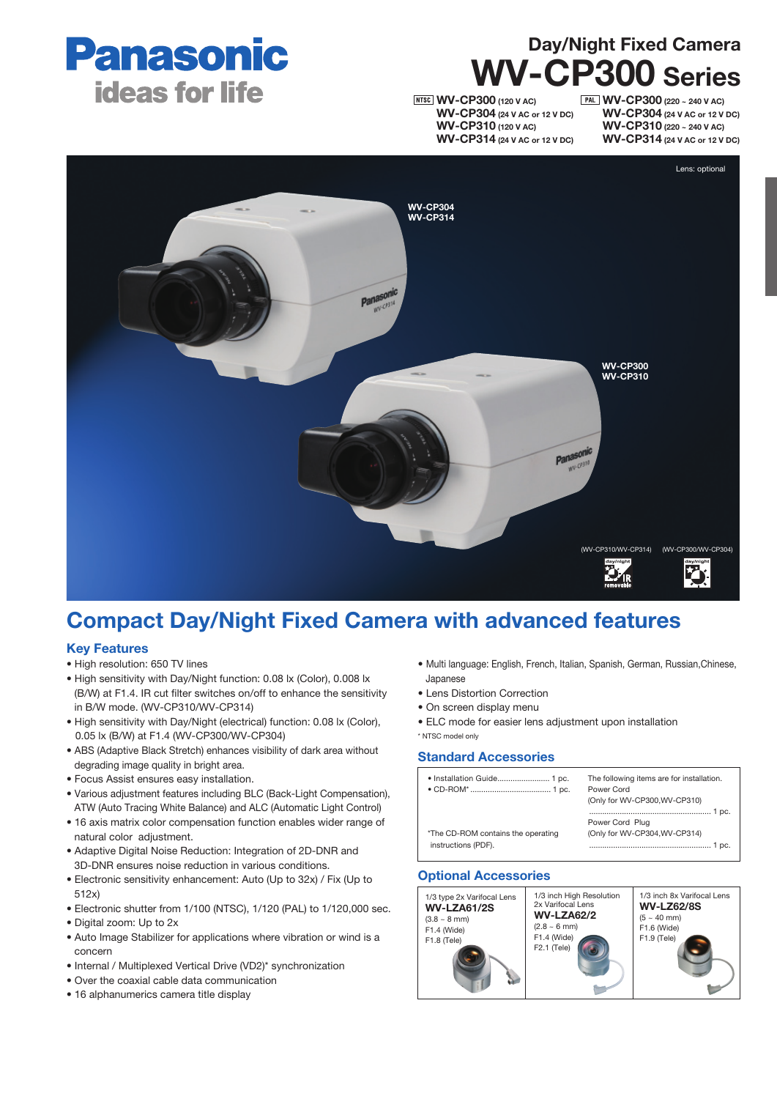

# Day/Night Fixed Camera WV-CP300 Series

**NTSC** WV-CP300 (120 V AC) WV-CP304 (24 V AC or 12 V DC) WV-CP310 (120 V AC) WV-CP314 (24 V AC or 12 V DC)

**PAL WV-CP300** (220 ~ 240 V AC) WV-CP304 (24 V AC or 12 V DC) WV-CP310 (220 ~ 240 V AC) WV-CP314 (24 V AC or 12 V DC)



## Compact Day/Night Fixed Camera with advanced features

### Key Features

- High resolution: 650 TV lines
- High sensitivity with Day/Night function: 0.08 lx (Color), 0.008 lx (B/W) at F1.4. IR cut filter switches on/off to enhance the sensitivity in B/W mode. (WV-CP310/WV-CP314)
- High sensitivity with Day/Night (electrical) function: 0.08 lx (Color), 0.05 lx (B/W) at F1.4 (WV-CP300/WV-CP304)
- ABS (Adaptive Black Stretch) enhances visibility of dark area without degrading image quality in bright area.
- Focus Assist ensures easy installation.
- Various adjustment features including BLC (Back-Light Compensation), ATW (Auto Tracing White Balance) and ALC (Automatic Light Control)
- 16 axis matrix color compensation function enables wider range of natural color adjustment.
- Adaptive Digital Noise Reduction: Integration of 2D-DNR and 3D-DNR ensures noise reduction in various conditions.
- Electronic sensitivity enhancement: Auto (Up to 32x) / Fix (Up to 512x)
- Electronic shutter from 1/100 (NTSC), 1/120 (PAL) to 1/120,000 sec.
- Digital zoom: Up to 2x
- Auto Image Stabilizer for applications where vibration or wind is a concern
- Internal / Multiplexed Vertical Drive (VD2)\* synchronization
- Over the coaxial cable data communication
- 16 alphanumerics camera title display
- Multi language: English, French, Italian, Spanish, German, Russian,Chinese, Japanese
- Lens Distortion Correction
- On screen display menu
- ELC mode for easier lens adjustment upon installation \* NTSC model only

#### Standard Accessories

| · Installation Guide 1 pc.                                | The following items are for installation.<br>Power Cord<br>(Only for WV-CP300, WV-CP310) |
|-----------------------------------------------------------|------------------------------------------------------------------------------------------|
| *The CD-ROM contains the operating<br>instructions (PDF). | 1 pc.<br>Power Cord Plug<br>(Only for WV-CP304, WV-CP314)<br>1 pc.                       |

### Optional Accessories